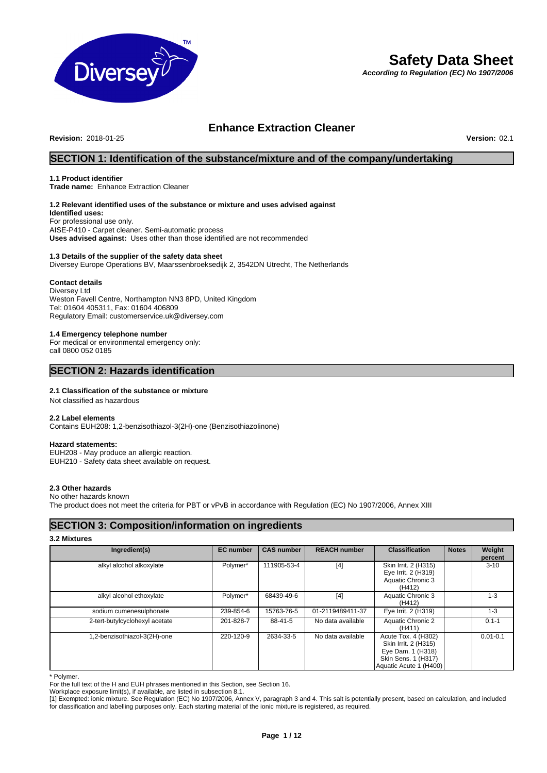

# **Safety Data Sheet**

*According to Regulation (EC) No 1907/2006*

# **Enhance Extraction Cleaner**

**Revision:** 2018-01-25 **Version:** 02.1

# **SECTION 1: Identification of the substance/mixture and of the company/undertaking**

# **1.1 Product identifier**

**Trade name:** Enhance Extraction Cleaner

# **1.2 Relevant identified uses of the substance or mixture and uses advised against**

**Identified uses:** For professional use only. AISE-P410 - Carpet cleaner. Semi-automatic process **Uses advised against:** Uses other than those identified are not recommended

# **1.3 Details of the supplier of the safety data sheet**

Diversey Europe Operations BV, Maarssenbroeksedijk 2, 3542DN Utrecht, The Netherlands

### **Contact details**

Diversey Ltd Weston Favell Centre, Northampton NN3 8PD, United Kingdom Tel: 01604 405311, Fax: 01604 406809 Regulatory Email: customerservice.uk@diversey.com

## **1.4 Emergency telephone number**

For medical or environmental emergency only: call 0800 052 0185

# **SECTION 2: Hazards identification**

# **2.1 Classification of the substance or mixture**

Not classified as hazardous

# **2.2 Label elements**

Contains EUH208: 1,2-benzisothiazol-3(2H)-one (Benzisothiazolinone)

# **Hazard statements:**

EUH208 - May produce an allergic reaction. EUH210 - Safety data sheet available on request.

# **2.3 Other hazards**

### No other hazards known

The product does not meet the criteria for PBT or vPvB in accordance with Regulation (EC) No 1907/2006, Annex XIII

# **SECTION 3: Composition/information on ingredients**

# **3.2 Mixtures**

| Ingredient(s)                  | <b>EC</b> number | <b>CAS number</b> | <b>REACH number</b> | <b>Classification</b>                                                                                             | <b>Notes</b> | Weight<br>percent |
|--------------------------------|------------------|-------------------|---------------------|-------------------------------------------------------------------------------------------------------------------|--------------|-------------------|
| alkyl alcohol alkoxylate       | Polymer*         | 111905-53-4       | $[4]$               | Skin Irrit. 2 (H315)<br>Eye Irrit. 2 (H319)<br>Aquatic Chronic 3<br>(H412)                                        |              | $3 - 10$          |
| alkyl alcohol ethoxylate       | Polymer*         | 68439-49-6        | [4]                 | Aquatic Chronic 3<br>(H412)                                                                                       |              | $1 - 3$           |
| sodium cumenesulphonate        | 239-854-6        | 15763-76-5        | 01-2119489411-37    | Eye Irrit. 2 (H319)                                                                                               |              | $1 - 3$           |
| 2-tert-butylcyclohexyl acetate | 201-828-7        | 88-41-5           | No data available   | Aquatic Chronic 2<br>(H411)                                                                                       |              | $0.1 - 1$         |
| 1,2-benzisothiazol-3(2H)-one   | 220-120-9        | 2634-33-5         | No data available   | Acute Tox. 4 (H302)<br>Skin Irrit. 2 (H315)<br>Eye Dam. 1 (H318)<br>Skin Sens. 1 (H317)<br>Aquatic Acute 1 (H400) |              | $0.01 - 0.1$      |

\* Polymer.

For the full text of the H and EUH phrases mentioned in this Section, see Section 16.

Workplace exposure limit(s), if available, are listed in subsection 8.1.

[1] Exempted: ionic mixture. See Regulation (EC) No 1907/2006, Annex V, paragraph 3 and 4. This salt is potentially present, based on calculation, and included for classification and labelling purposes only. Each starting material of the ionic mixture is registered, as required.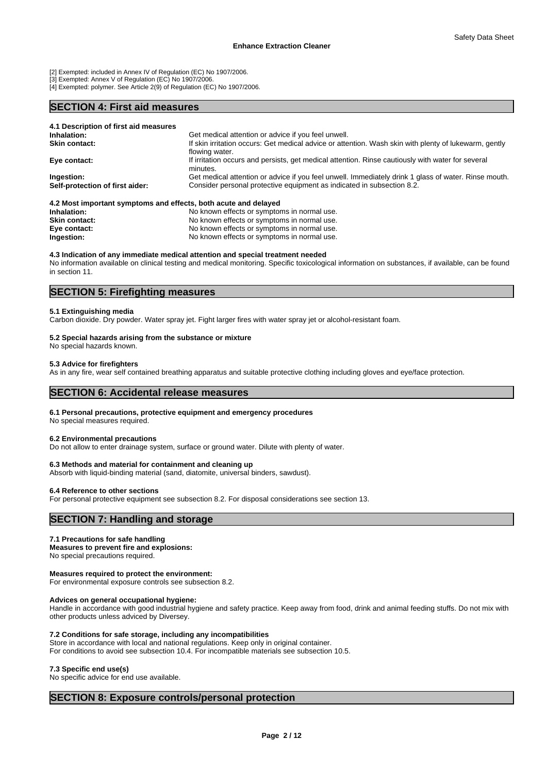[2] Exempted: included in Annex IV of Regulation (EC) No 1907/2006.

[3] Exempted: Annex V of Regulation (EC) No 1907/2006.

[4] Exempted: polymer. See Article 2(9) of Regulation (EC) No 1907/2006.

# **SECTION 4: First aid measures**

| 4.1 Description of first aid measures                           |                                                                                                                         |
|-----------------------------------------------------------------|-------------------------------------------------------------------------------------------------------------------------|
| Inhalation:                                                     | Get medical attention or advice if you feel unwell.                                                                     |
| <b>Skin contact:</b>                                            | If skin irritation occurs: Get medical advice or attention. Wash skin with plenty of lukewarm, gently<br>flowing water. |
| Eye contact:                                                    | If irritation occurs and persists, get medical attention. Rinse cautiously with water for several<br>minutes.           |
| Ingestion:                                                      | Get medical attention or advice if you feel unwell. Immediately drink 1 glass of water. Rinse mouth.                    |
| Self-protection of first aider:                                 | Consider personal protective equipment as indicated in subsection 8.2.                                                  |
| 4.2 Most important symptoms and effects, both acute and delayed |                                                                                                                         |

**Inhalation:** The Moknown effects or symptoms in normal use. **Skin contact:** No known effects or symptoms in normal use. **Eye contact:** No known effects or symptoms in normal use.<br> **Ingestion:** No known effects or symptoms in normal use. **Ingestion:** No known effects or symptoms in normal use.

# **4.3 Indication of any immediate medical attention and special treatment needed**

No information available on clinical testing and medical monitoring. Specific toxicological information on substances, if available, can be found in section 11.

# **SECTION 5: Firefighting measures**

### **5.1 Extinguishing media**

Carbon dioxide. Dry powder. Water spray jet. Fight larger fires with water spray jet or alcohol-resistant foam.

# **5.2 Special hazards arising from the substance or mixture**

No special hazards known.

### **5.3 Advice for firefighters**

As in any fire, wear self contained breathing apparatus and suitable protective clothing including gloves and eye/face protection.

# **SECTION 6: Accidental release measures**

### **6.1 Personal precautions, protective equipment and emergency procedures**

No special measures required.

### **6.2 Environmental precautions**

Do not allow to enter drainage system, surface or ground water. Dilute with plenty of water.

### **6.3 Methods and material for containment and cleaning up**

Absorb with liquid-binding material (sand, diatomite, universal binders, sawdust).

### **6.4 Reference to other sections**

For personal protective equipment see subsection 8.2. For disposal considerations see section 13.

# **SECTION 7: Handling and storage**

### **7.1 Precautions for safe handling**

**Measures to prevent fire and explosions:** No special precautions required.

### **Measures required to protect the environment:**

For environmental exposure controls see subsection 8.2.

### **Advices on general occupational hygiene:**

Handle in accordance with good industrial hygiene and safety practice. Keep away from food, drink and animal feeding stuffs. Do not mix with other products unless adviced by Diversey.

### **7.2 Conditions for safe storage, including any incompatibilities**

# Store in accordance with local and national regulations. Keep only in original container.

For conditions to avoid see subsection 10.4. For incompatible materials see subsection 10.5.

### **7.3 Specific end use(s)**

No specific advice for end use available.

# **SECTION 8: Exposure controls/personal protection**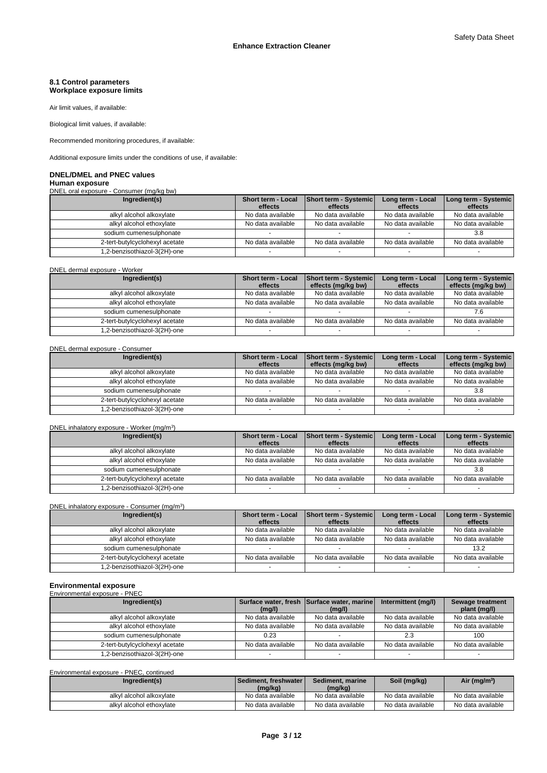### **8.1 Control parameters Workplace exposure limits**

Air limit values, if available:

Biological limit values, if available:

Recommended monitoring procedures, if available:

Additional exposure limits under the conditions of use, if available:

# **DNEL/DMEL and PNEC values**

**Human exposure** DNEL oral exposure - Consumer (mg/kg bw)

| Ingredient(s)                  | <b>Short term - Local</b><br>effects | Short term - Systemic<br>effects | Long term - Local<br>effects | Long term - Systemic<br>effects |
|--------------------------------|--------------------------------------|----------------------------------|------------------------------|---------------------------------|
| alkyl alcohol alkoxylate       | No data available                    | No data available                | No data available            | No data available               |
| alkyl alcohol ethoxylate       | No data available                    | No data available                | No data available            | No data available               |
| sodium cumenesulphonate        |                                      |                                  |                              | 3.8                             |
| 2-tert-butylcyclohexyl acetate | No data available                    | No data available                | No data available            | No data available               |
| 1.2-benzisothiazol-3(2H)-one   |                                      |                                  |                              |                                 |

DNEL dermal exposure - Worker

| Ingredient(s)                  | <b>Short term - Local</b><br>effects | <b>Short term - Systemic</b><br>effects (mg/kg bw) | Long term - Local<br>effects | Long term - Systemic<br>effects (mg/kg bw) |
|--------------------------------|--------------------------------------|----------------------------------------------------|------------------------------|--------------------------------------------|
| alkyl alcohol alkoxylate       | No data available                    | No data available                                  | No data available            | No data available                          |
| alkyl alcohol ethoxylate       | No data available                    | No data available                                  | No data available            | No data available                          |
| sodium cumenesulphonate        |                                      |                                                    |                              |                                            |
| 2-tert-butylcyclohexyl acetate | No data available                    | No data available                                  | No data available            | No data available                          |
| 1.2-benzisothiazol-3(2H)-one   |                                      |                                                    |                              |                                            |

# DNEL dermal exposure - Consumer

| Ingredient(s)                  | Short term - Local<br>effects | <b>Short term - Systemic</b><br>effects (mg/kg bw) | Long term - Local<br>effects | Long term - Systemic  <br>effects (mg/kg bw) |
|--------------------------------|-------------------------------|----------------------------------------------------|------------------------------|----------------------------------------------|
| alkyl alcohol alkoxylate       | No data available             | No data available                                  | No data available            | No data available                            |
| alkyl alcohol ethoxylate       | No data available             | No data available                                  | No data available            | No data available                            |
| sodium cumenesulphonate        |                               |                                                    |                              | 3.8                                          |
| 2-tert-butylcyclohexyl acetate | No data available             | No data available                                  | No data available            | No data available                            |
| .2-benzisothiazol-3(2H)-one    |                               |                                                    |                              |                                              |

### DNEL inhalatory exposure - Worker (mg/m<sup>3</sup>  $)$

| Ingredient(s)                  | <b>Short term - Local</b><br>effects | <b>Short term - Systemic</b><br>effects | Long term - Local<br>effects | Long term - Systemic<br>effects |
|--------------------------------|--------------------------------------|-----------------------------------------|------------------------------|---------------------------------|
| alkyl alcohol alkoxylate       | No data available                    | No data available                       | No data available            | No data available               |
| alkyl alcohol ethoxylate       | No data available                    | No data available                       | No data available            | No data available               |
| sodium cumenesulphonate        |                                      |                                         |                              | 3.8                             |
| 2-tert-butylcyclohexyl acetate | No data available                    | No data available                       | No data available            | No data available               |
| 1,2-benzisothiazol-3(2H)-one   |                                      |                                         |                              |                                 |

DNEL inhalatory exposure - Consumer (mg/m<sup>3</sup>)

| Ingredient(s)                  | <b>Short term - Local</b><br>effects | <b>Short term - Systemic</b><br>effects | Long term - Local<br>effects | Long term - Systemic  <br>effects |
|--------------------------------|--------------------------------------|-----------------------------------------|------------------------------|-----------------------------------|
| alkyl alcohol alkoxylate       | No data available                    | No data available                       | No data available            | No data available                 |
| alkyl alcohol ethoxylate       | No data available                    | No data available                       | No data available            | No data available                 |
| sodium cumenesulphonate        |                                      |                                         |                              | 13.2                              |
| 2-tert-butylcyclohexyl acetate | No data available                    | No data available                       | No data available            | No data available                 |
| .2-benzisothiazol-3(2H)-one    |                                      |                                         |                              |                                   |

 $)$ 

# **Environmental exposure**

| Environmental exposure - PNEC |   |  |  |
|-------------------------------|---|--|--|
|                               | . |  |  |

| Ingredient(s)                  |                   | Surface water, fresh Surface water, marine | Intermittent (mg/l) | Sewage treatment  |
|--------------------------------|-------------------|--------------------------------------------|---------------------|-------------------|
|                                | (mq/l)            | (mq/l)                                     |                     | plant (mg/l)      |
| alkyl alcohol alkoxylate       | No data available | No data available                          | No data available   | No data available |
| alkyl alcohol ethoxylate       | No data available | No data available                          | No data available   | No data available |
| sodium cumenesulphonate        | 0.23              |                                            | 2.3                 | 100               |
| 2-tert-butylcyclohexyl acetate | No data available | No data available                          | No data available   | No data available |
| 1,2-benzisothiazol-3(2H)-one   |                   |                                            |                     |                   |

Environmental exposure - PNEC, continued

| Ingredient(s)            | <b>Sediment, freshwater</b> <i>I</i><br>(mg/kg) | Sediment, marine<br>(mg/kg) | Soil (mg/kg)      | Air (mg/m <sup>3</sup> ) |
|--------------------------|-------------------------------------------------|-----------------------------|-------------------|--------------------------|
| alkyl alcohol alkoxylate | No data available                               | No data available           | No data available | No data available        |
| alkyl alcohol ethoxylate | No data available                               | No data available           | No data available | No data available        |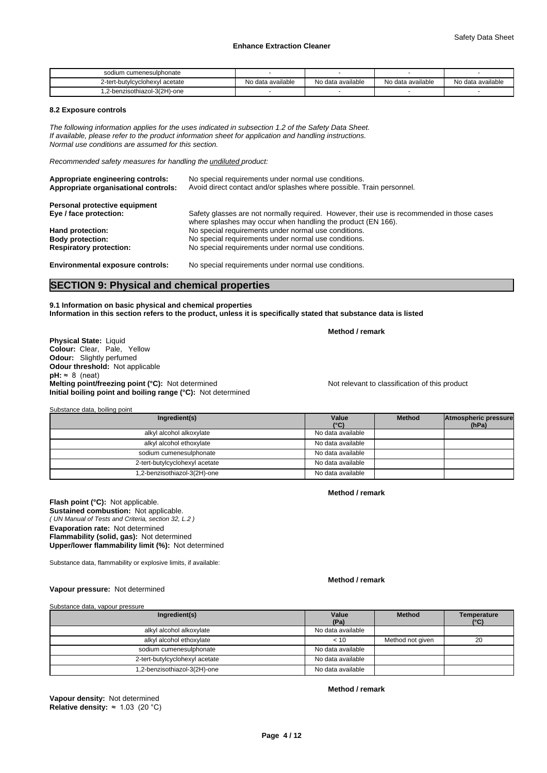| sodium cumenesulphonate        |                   |                   |                   |                   |
|--------------------------------|-------------------|-------------------|-------------------|-------------------|
| 2-tert-butylcyclohexyl acetate | No data available | No data available | No data available | No data available |
| 1,2-benzisothiazol-3(2H)-one   |                   |                   |                   |                   |

### **8.2 Exposure controls**

*The following information applies for the uses indicated in subsection 1.2 of the Safety Data Sheet. If available, please refer to the product information sheet for application and handling instructions. Normal use conditions are assumed for this section.*

*Recommended safety measures for handling the undiluted product:*

| Appropriate engineering controls:<br>Appropriate organisational controls: | No special requirements under normal use conditions.<br>Avoid direct contact and/or splashes where possible. Train personnel.                              |
|---------------------------------------------------------------------------|------------------------------------------------------------------------------------------------------------------------------------------------------------|
| Personal protective equipment                                             |                                                                                                                                                            |
| Eye / face protection:                                                    | Safety glasses are not normally required. However, their use is recommended in those cases<br>where splashes may occur when handling the product (EN 166). |
| Hand protection:                                                          | No special requirements under normal use conditions.                                                                                                       |
| <b>Body protection:</b>                                                   | No special requirements under normal use conditions.                                                                                                       |
| <b>Respiratory protection:</b>                                            | No special requirements under normal use conditions.                                                                                                       |

**Environmental exposure controls:** No special requirements under normal use conditions.

# **SECTION 9: Physical and chemical properties**

**9.1 Information on basic physical and chemical properties Information in this section refers to the product, unless it is specifically stated that substance data is listed**

**Method / remark**

**Physical State:** Liquid **Colour:** Clear, Pale, Yellow **Odour:** Slightly perfumed **Odour threshold:** Not applicable  $pH: ~ 8$  (neat) **Melting point/freezing point (°C):** Not determined Not relevant to classification of this product **Initial boiling point and boiling range (°C):** Not determined

Substance data, boiling point

| Ingredient(s)                  | Value<br>$(^{\circ}C)$ | <b>Method</b> | Atmospheric pressure<br>(hPa) |  |
|--------------------------------|------------------------|---------------|-------------------------------|--|
| alkyl alcohol alkoxylate       | No data available      |               |                               |  |
| alkyl alcohol ethoxylate       | No data available      |               |                               |  |
| sodium cumenesulphonate        | No data available      |               |                               |  |
| 2-tert-butylcyclohexyl acetate | No data available      |               |                               |  |
| 1,2-benzisothiazol-3(2H)-one   | No data available      |               |                               |  |

*( UN Manual of Tests and Criteria, section 32, L.2 )* **Flash point (°C):** Not applicable. **Sustained combustion:** Not applicable. **Evaporation rate:** Not determined **Flammability (solid, gas):** Not determined **Upper/lower flammability limit (%):** Not determined

Substance data, flammability or explosive limits, if available:

### **Method / remark**

**Method / remark**

**Vapour pressure:** Not determined

Substance data, vapour pressure

| Ingredient(s)                  | Value<br>(Pa)     | <b>Method</b>    | Temperature<br>(°C) |
|--------------------------------|-------------------|------------------|---------------------|
| alkyl alcohol alkoxylate       | No data available |                  |                     |
| alkyl alcohol ethoxylate       | < 10              | Method not given | 20                  |
| sodium cumenesulphonate        | No data available |                  |                     |
| 2-tert-butylcyclohexyl acetate | No data available |                  |                     |
| 1,2-benzisothiazol-3(2H)-one   | No data available |                  |                     |

**Vapour density:** Not determined **Relative density:** ≈1.03(20°C) **Method / remark**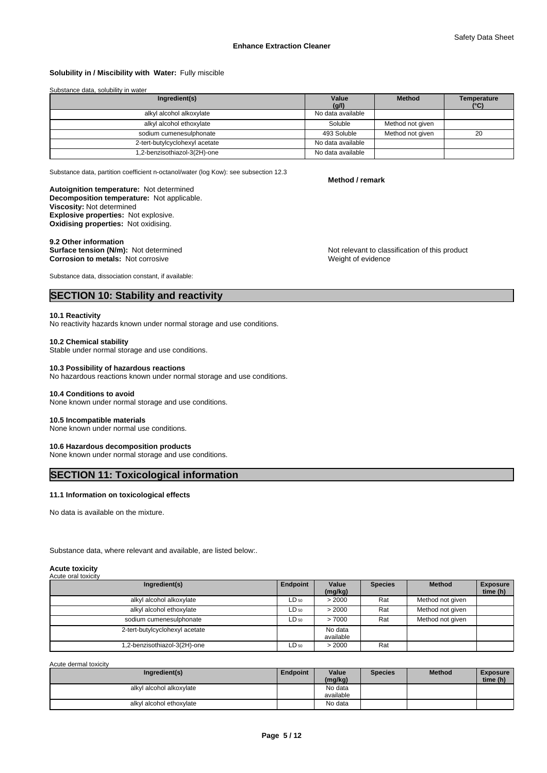# **Solubility in / Miscibility with Water:** Fully miscible

### Substance data, solubility in water

| Ingredient(s)                  | Value             | <b>Method</b>    | Temperature   |
|--------------------------------|-------------------|------------------|---------------|
|                                | (g/l)             |                  | $(^{\circ}C)$ |
| alkyl alcohol alkoxylate       | No data available |                  |               |
| alkyl alcohol ethoxylate       | Soluble           | Method not given |               |
| sodium cumenesulphonate        | 493 Soluble       | Method not given | 20            |
| 2-tert-butylcyclohexyl acetate | No data available |                  |               |
| .2-benzisothiazol-3(2H)-one    | No data available |                  |               |

Substance data, partition coefficient n-octanol/water (log Kow): see subsection 12.3

**Method / remark**

**Decomposition temperature:** Not applicable. **Autoignition temperature:** Not determined **Viscosity:** Not determined **Explosive properties:** Not explosive. **Oxidising properties:** Not oxidising.

**9.2 Other information<br>Surface tension (N/m):** Not determined **Corrosion to metals:** Not corrosive

Substance data, dissociation constant, if available:

# **SECTION 10: Stability and reactivity**

### **10.1 Reactivity**

No reactivity hazards known under normal storage and use conditions.

### **10.2 Chemical stability**

Stable under normal storage and use conditions.

### **10.3 Possibility of hazardous reactions**

No hazardous reactions known under normal storage and use conditions.

### **10.4 Conditions to avoid**

None known under normal storage and use conditions.

### **10.5 Incompatible materials**

None known under normal use conditions.

# **10.6 Hazardous decomposition products**

None known under normal storage and use conditions.

# **SECTION 11: Toxicological information**

### **11.1 Information on toxicological effects**

No data is available on the mixture.

Substance data, where relevant and available, are listed below:.

### **Acute toxicity** Acute oral toxicity

| Ingredient(s)                  | Endpoint  | Value                | <b>Species</b> | <b>Method</b>    | <b>Exposure</b> |
|--------------------------------|-----------|----------------------|----------------|------------------|-----------------|
|                                |           | (mg/kg)              |                |                  | time (h)        |
| alkyl alcohol alkoxylate       | $LD_{50}$ | > 2000               | Rat            | Method not given |                 |
| alkyl alcohol ethoxylate       | $LD_{50}$ | > 2000               | Rat            | Method not given |                 |
| sodium cumenesulphonate        | $LD_{50}$ | >7000                | Rat            | Method not given |                 |
| 2-tert-butylcyclohexyl acetate |           | No data<br>available |                |                  |                 |
| .2-benzisothiazol-3(2H)-one    | $LD_{50}$ | > 2000               | Rat            |                  |                 |

Acute dermal toxicity

| Ingredient(s)            | Endpoint | Value<br>(mg/kg) | <b>Species</b> | <b>Method</b> | <b>Exposure</b><br>time (h) |
|--------------------------|----------|------------------|----------------|---------------|-----------------------------|
| alkyl alcohol alkoxylate |          | No data          |                |               |                             |
|                          |          | available        |                |               |                             |
| alkyl alcohol ethoxylate |          | No data          |                |               |                             |

Not relevant to classification of this product Weight of evidence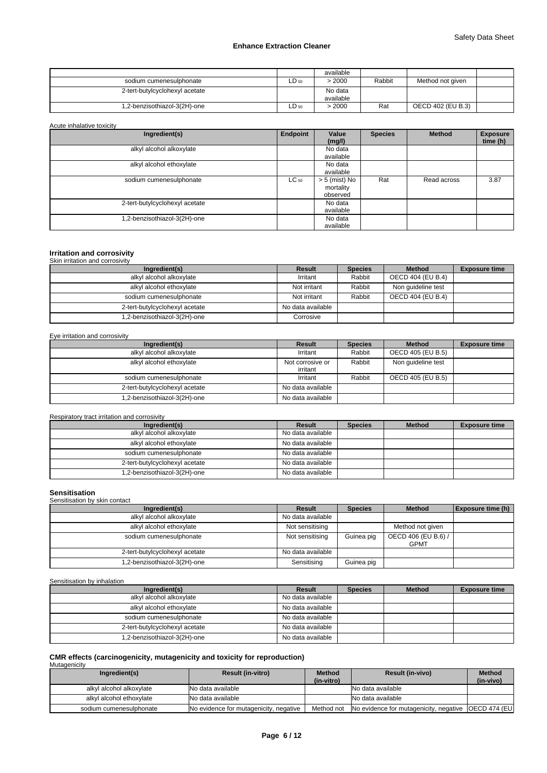|                                |           | available            |        |                   |  |
|--------------------------------|-----------|----------------------|--------|-------------------|--|
| sodium cumenesulphonate        | LD 50     | > 2000               | Rabbit | Method not given  |  |
| 2-tert-butylcyclohexyl acetate |           | No data<br>available |        |                   |  |
|                                |           |                      |        |                   |  |
| 1,2-benzisothiazol-3(2H)-one   | $LD_{50}$ | > 2000               | Rat    | OECD 402 (EU B.3) |  |

Acute inhalative toxicity

| Ingredient(s)                  | Endpoint  | Value<br>(mg/l)                          | <b>Species</b> | <b>Method</b> | <b>Exposure</b><br>time (h) |
|--------------------------------|-----------|------------------------------------------|----------------|---------------|-----------------------------|
| alkyl alcohol alkoxylate       |           | No data<br>available                     |                |               |                             |
| alkyl alcohol ethoxylate       |           | No data<br>available                     |                |               |                             |
| sodium cumenesulphonate        | $LC_{50}$ | $> 5$ (mist) No<br>mortality<br>observed | Rat            | Read across   | 3.87                        |
| 2-tert-butylcyclohexyl acetate |           | No data<br>available                     |                |               |                             |
| .2-benzisothiazol-3(2H)-one    |           | No data<br>available                     |                |               |                             |

# **Irritation and corrosivity** Skin irritation and corrosivity

| <u>UNII IIIIIAIIUII AHU CUHUSIVIIV</u> |                   |                |                    |                      |
|----------------------------------------|-------------------|----------------|--------------------|----------------------|
| Ingredient(s)                          | Result            | <b>Species</b> | <b>Method</b>      | <b>Exposure time</b> |
| alkyl alcohol alkoxylate               | Irritant          | Rabbit         | OECD 404 (EU B.4)  |                      |
| alkyl alcohol ethoxylate               | Not irritant      | Rabbit         | Non quideline test |                      |
| sodium cumenesulphonate                | Not irritant      | Rabbit         | OECD 404 (EU B.4)  |                      |
| 2-tert-butylcyclohexyl acetate         | No data available |                |                    |                      |
| 1,2-benzisothiazol-3(2H)-one           | Corrosive         |                |                    |                      |

## Eye irritation and corrosivity

| Ingredient(s)                  | <b>Result</b>                | <b>Species</b> | <b>Method</b>      | <b>Exposure time</b> |
|--------------------------------|------------------------------|----------------|--------------------|----------------------|
| alkyl alcohol alkoxylate       | Irritant                     | Rabbit         | OECD 405 (EU B.5)  |                      |
| alkyl alcohol ethoxylate       | Not corrosive or<br>irritant | Rabbit         | Non quideline test |                      |
| sodium cumenesulphonate        | Irritant                     | Rabbit         | OECD 405 (EU B.5)  |                      |
| 2-tert-butylcyclohexyl acetate | No data available            |                |                    |                      |
| 1,2-benzisothiazol-3(2H)-one   | No data available            |                |                    |                      |

Respiratory tract irritation and corrosivity

| Ingredient(s)                  | Result            | <b>Species</b> | <b>Method</b> | <b>Exposure time</b> |
|--------------------------------|-------------------|----------------|---------------|----------------------|
| alkyl alcohol alkoxylate       | No data available |                |               |                      |
| alkyl alcohol ethoxylate       | No data available |                |               |                      |
| sodium cumenesulphonate        | No data available |                |               |                      |
| 2-tert-butylcyclohexyl acetate | No data available |                |               |                      |
| 1,2-benzisothiazol-3(2H)-one   | No data available |                |               |                      |

| <b>Sensitisation</b><br>Sensitisation by skin contact |                   |                |                                    |                   |
|-------------------------------------------------------|-------------------|----------------|------------------------------------|-------------------|
| Ingredient(s)                                         | <b>Result</b>     | <b>Species</b> | <b>Method</b>                      | Exposure time (h) |
| alkyl alcohol alkoxylate                              | No data available |                |                                    |                   |
| alkyl alcohol ethoxylate                              | Not sensitising   |                | Method not given                   |                   |
| sodium cumenesulphonate                               | Not sensitising   | Guinea pig     | OECD 406 (EU B.6) /<br><b>GPMT</b> |                   |
| 2-tert-butylcyclohexyl acetate                        | No data available |                |                                    |                   |
| 1,2-benzisothiazol-3(2H)-one                          | Sensitising       | Guinea pig     |                                    |                   |

Sensitisation by inhalation

| Ingredient(s)                  | Result            | <b>Species</b> | <b>Method</b> | <b>Exposure time</b> |
|--------------------------------|-------------------|----------------|---------------|----------------------|
| alkyl alcohol alkoxylate       | No data available |                |               |                      |
| alkyl alcohol ethoxylate       | No data available |                |               |                      |
| sodium cumenesulphonate        | No data available |                |               |                      |
| 2-tert-butylcyclohexyl acetate | No data available |                |               |                      |
| 1,2-benzisothiazol-3(2H)-one   | No data available |                |               |                      |

# **CMR effects (carcinogenicity, mutagenicity and toxicity for reproduction)** Mutagenicity

| Ingredient(s)            | <b>Result (in-vitro)</b>               | <b>Method</b><br>(in-vitro) | <b>Result (in-vivo)</b>                                | <b>Method</b><br>(in-vivo) |
|--------------------------|----------------------------------------|-----------------------------|--------------------------------------------------------|----------------------------|
| alkyl alcohol alkoxylate | No data available                      |                             | No data available                                      |                            |
| alkyl alcohol ethoxylate | No data available                      |                             | No data available                                      |                            |
| sodium cumenesulphonate  | No evidence for mutagenicity, negative | Method not                  | No evidence for mutagenicity, negative   OECD 474 (EU) |                            |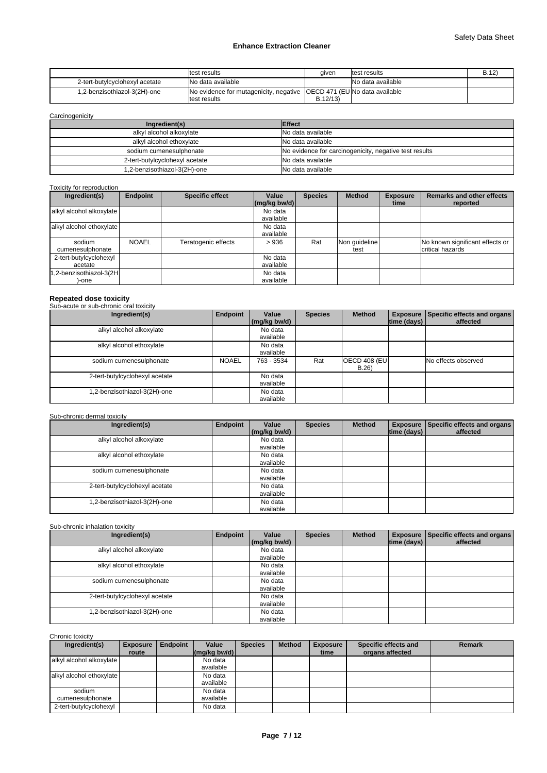|                                | ltest results                                                            | given   | test results      | B.12 |
|--------------------------------|--------------------------------------------------------------------------|---------|-------------------|------|
| 2-tert-butylcyclohexyl acetate | <b>No data available</b>                                                 |         | No data available |      |
| 1.2-benzisothiazol-3(2H)-one   | [No evidence for mutagenicity, negative   OECD 471 (EU No data available |         |                   |      |
|                                | test results                                                             | B.12/13 |                   |      |

**Carcinogenicity** 

| Ingredient(s)                  | <b>Effect</b>                                          |
|--------------------------------|--------------------------------------------------------|
| alkyl alcohol alkoxylate       | No data available                                      |
| alkyl alcohol ethoxylate       | No data available                                      |
| sodium cumenesulphonate        | No evidence for carcinogenicity, negative test results |
| 2-tert-butylcyclohexyl acetate | No data available                                      |
| 1.2-benzisothiazol-3(2H)-one   | No data available                                      |

# Toxicity for reproduction

| Ingredient(s)                     | <b>Endpoint</b> | <b>Specific effect</b> | Value<br>$(mg/kg$ bw/d) | <b>Species</b> | <b>Method</b>         | <b>Exposure</b><br>time | <b>Remarks and other effects</b><br>reported        |
|-----------------------------------|-----------------|------------------------|-------------------------|----------------|-----------------------|-------------------------|-----------------------------------------------------|
| alkyl alcohol alkoxylate          |                 |                        | No data<br>available    |                |                       |                         |                                                     |
| alkyl alcohol ethoxylate          |                 |                        | No data<br>available    |                |                       |                         |                                                     |
| sodium<br>cumenesulphonate        | <b>NOAEL</b>    | Teratogenic effects    | >936                    | Rat            | Non quideline<br>test |                         | No known significant effects or<br>critical hazards |
| 2-tert-butylcyclohexyl<br>acetate |                 |                        | No data<br>available    |                |                       |                         |                                                     |
| 1,2-benzisothiazol-3(2H<br>-one   |                 |                        | No data<br>available    |                |                       |                         |                                                     |

# **Repeated dose toxicity** Sub-acute or sub-chronic oral toxicity

| Ingredient(s)                  | Endpoint     | Value                | <b>Species</b> | <b>Method</b>                |                    | Exposure Specific effects and organs |
|--------------------------------|--------------|----------------------|----------------|------------------------------|--------------------|--------------------------------------|
|                                |              | (mg/kg bw/d)         |                |                              | $ time$ (days) $ $ | affected                             |
| alkyl alcohol alkoxylate       |              | No data<br>available |                |                              |                    |                                      |
| alkyl alcohol ethoxylate       |              | No data<br>available |                |                              |                    |                                      |
| sodium cumenesulphonate        | <b>NOAEL</b> | 763 - 3534           | Rat            | <b>OECD 408 (EU)</b><br>B.26 |                    | No effects observed                  |
| 2-tert-butylcyclohexyl acetate |              | No data<br>available |                |                              |                    |                                      |
| 1,2-benzisothiazol-3(2H)-one   |              | No data<br>available |                |                              |                    |                                      |

# Sub-chronic dermal toxicity

| Ingredient(s)                  | Endpoint | Value                | <b>Species</b> | <b>Method</b> |             | Exposure Specific effects and organs |
|--------------------------------|----------|----------------------|----------------|---------------|-------------|--------------------------------------|
|                                |          | (mg/kg bw/d)         |                |               | time (days) | affected                             |
| alkyl alcohol alkoxylate       |          | No data<br>available |                |               |             |                                      |
| alkyl alcohol ethoxylate       |          | No data<br>available |                |               |             |                                      |
| sodium cumenesulphonate        |          | No data<br>available |                |               |             |                                      |
| 2-tert-butylcyclohexyl acetate |          | No data<br>available |                |               |             |                                      |
| 1,2-benzisothiazol-3(2H)-one   |          | No data<br>available |                |               |             |                                      |

# Sub-chronic inhalation toxicity

| Ingredient(s)                  | Endpoint | Value                | <b>Species</b> | <b>Method</b> |             | <b>Exposure Specific effects and organs</b> |
|--------------------------------|----------|----------------------|----------------|---------------|-------------|---------------------------------------------|
|                                |          | (mg/kg bw/d)         |                |               | time (days) | affected                                    |
| alkyl alcohol alkoxylate       |          | No data<br>available |                |               |             |                                             |
| alkyl alcohol ethoxylate       |          | No data<br>available |                |               |             |                                             |
| sodium cumenesulphonate        |          | No data<br>available |                |               |             |                                             |
| 2-tert-butylcyclohexyl acetate |          | No data<br>available |                |               |             |                                             |
| 1,2-benzisothiazol-3(2H)-one   |          | No data<br>available |                |               |             |                                             |

# Chronic toxicity

| Ingredient(s)            | <b>Exposure</b> | Endpoint | Value                                            | <b>Species</b> | <b>Method</b> | <b>Exposure</b> | Specific effects and | <b>Remark</b> |
|--------------------------|-----------------|----------|--------------------------------------------------|----------------|---------------|-----------------|----------------------|---------------|
|                          | route           |          | $\left \frac{\text{mg}}{\text{kg}}\right $ bw/d) |                |               | time            | organs affected      |               |
| alkyl alcohol alkoxylate |                 |          | No data                                          |                |               |                 |                      |               |
|                          |                 |          | available                                        |                |               |                 |                      |               |
| alkyl alcohol ethoxylate |                 |          | No data                                          |                |               |                 |                      |               |
|                          |                 |          | available                                        |                |               |                 |                      |               |
| sodium                   |                 |          | No data                                          |                |               |                 |                      |               |
| cumenesulphonate         |                 |          | available                                        |                |               |                 |                      |               |
| 2-tert-butylcyclohexyl   |                 |          | No data                                          |                |               |                 |                      |               |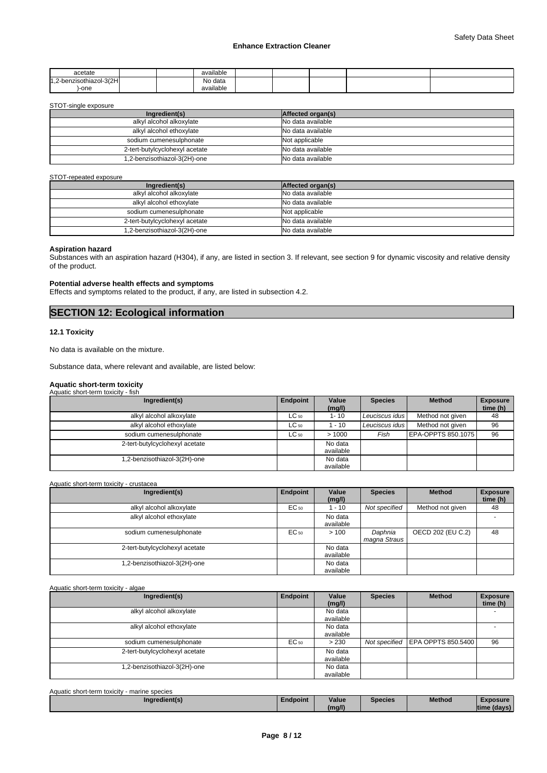| acetate                                                                       |  | .<br>available                  |  |  |  |
|-------------------------------------------------------------------------------|--|---------------------------------|--|--|--|
| .-3(2HL<br>$\overline{11}$<br>zisothiazol-1<br>$h^{\text{nr}}$<br>1. L-NG 11. |  | $\ddot{\phantom{0}}$<br>No data |  |  |  |
| )-one                                                                         |  | $\cdots$<br>available           |  |  |  |

STOT-single exposure

| Ingredient(s)                  | Affected organ(s) |
|--------------------------------|-------------------|
| alkyl alcohol alkoxylate       | No data available |
| alkyl alcohol ethoxylate       | No data available |
| sodium cumenesulphonate        | Not applicable    |
| 2-tert-butylcyclohexyl acetate | No data available |
| 1,2-benzisothiazol-3(2H)-one   | No data available |

### STOT-repeated exposure

| Ingredient(s)                  | Affected organ(s) |
|--------------------------------|-------------------|
| alkyl alcohol alkoxylate       | No data available |
| alkyl alcohol ethoxylate       | No data available |
| sodium cumenesulphonate        | Not applicable    |
| 2-tert-butylcyclohexyl acetate | No data available |
| 1,2-benzisothiazol-3(2H)-one   | No data available |

### **Aspiration hazard**

Substances with an aspiration hazard (H304), if any, are listed in section 3. If relevant, see section 9 for dynamic viscosity and relative density of the product.

# **Potential adverse health effects and symptoms**

Effects and symptoms related to the product, if any, are listed in subsection 4.2.

# **SECTION 12: Ecological information**

### **12.1 Toxicity**

No data is available on the mixture.

Substance data, where relevant and available, are listed below:

# **Aquatic short-term toxicity** Aquatic short-term toxicity - fish

| Ingredient(s)                  | Endpoint  | Value<br>(mg/l)      | <b>Species</b> | <b>Method</b>      | <b>Exposure</b><br>time (h) |
|--------------------------------|-----------|----------------------|----------------|--------------------|-----------------------------|
| alkyl alcohol alkoxylate       | $LC_{50}$ | $1 - 10$             | Leuciscus idus | Method not given   | 48                          |
| alkyl alcohol ethoxylate       | $LC_{50}$ | 1 - 10               | Leuciscus idus | Method not given   | 96                          |
| sodium cumenesulphonate        | $LC_{50}$ | >1000                | Fish           | EPA-OPPTS 850.1075 | 96                          |
| 2-tert-butylcyclohexyl acetate |           | No data<br>available |                |                    |                             |
| .2-benzisothiazol-3(2H)-one    |           | No data<br>available |                |                    |                             |

Aquatic short-term toxicity - crustacea

| Ingredient(s)                  | Endpoint | Value<br>(mg/l)      | <b>Species</b>          | <b>Method</b>     | <b>Exposure</b><br>time (h) |
|--------------------------------|----------|----------------------|-------------------------|-------------------|-----------------------------|
| alkyl alcohol alkoxylate       | EC 50    | $-10$                | Not specified           | Method not given  | 48                          |
| alkyl alcohol ethoxylate       |          | No data<br>available |                         |                   |                             |
| sodium cumenesulphonate        | EC 50    | >100                 | Daphnia<br>magna Straus | OECD 202 (EU C.2) | 48                          |
| 2-tert-butylcyclohexyl acetate |          | No data<br>available |                         |                   |                             |
| .2-benzisothiazol-3(2H)-one    |          | No data<br>available |                         |                   |                             |

Aquatic short-term toxicity - algae

| Ingredient(s)                  | Endpoint | Value     | <b>Species</b> | <b>Method</b>                    | <b>Exposure</b>          |
|--------------------------------|----------|-----------|----------------|----------------------------------|--------------------------|
|                                |          | (mg/l)    |                |                                  | time (h)                 |
| alkyl alcohol alkoxylate       |          | No data   |                |                                  | $\overline{\phantom{0}}$ |
|                                |          | available |                |                                  |                          |
| alkyl alcohol ethoxylate       |          | No data   |                |                                  |                          |
|                                |          | available |                |                                  |                          |
| sodium cumenesulphonate        | EC 50    | > 230     |                | Not specified EPA OPPTS 850.5400 | 96                       |
| 2-tert-butylcyclohexyl acetate |          | No data   |                |                                  |                          |
|                                |          | available |                |                                  |                          |
| .2-benzisothiazol-3(2H)-one    |          | No data   |                |                                  |                          |
|                                |          | available |                |                                  |                          |

| Aquatic short-term toxicity<br>marine species |          |        |         |               |                 |  |
|-----------------------------------------------|----------|--------|---------|---------------|-----------------|--|
| Ingredient(s)                                 | Endpoint | Value  | Species | <b>Method</b> | <b>Exposure</b> |  |
|                                               |          | (mg/l) |         |               | Itime (davs)    |  |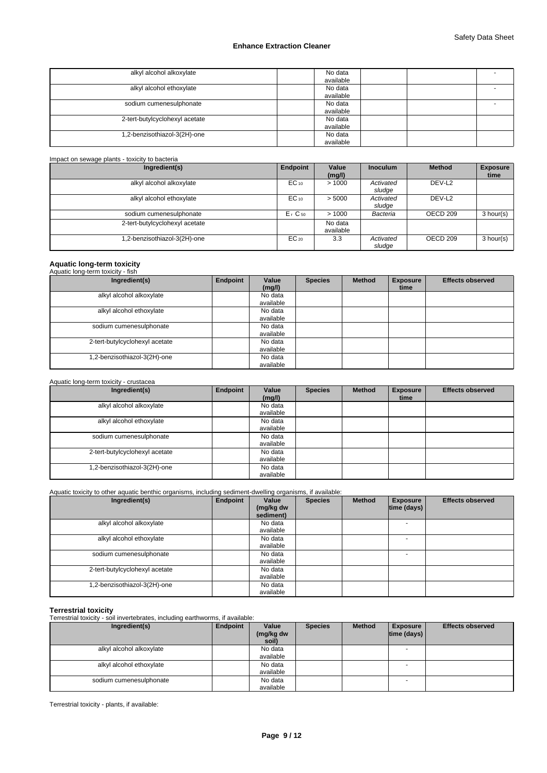| alkyl alcohol alkoxylate       | No data<br>available                             |
|--------------------------------|--------------------------------------------------|
| alkyl alcohol ethoxylate       | No data<br>$\overline{\phantom{0}}$<br>available |
| sodium cumenesulphonate        | No data<br>-<br>available                        |
| 2-tert-butylcyclohexyl acetate | No data<br>available                             |
| 1,2-benzisothiazol-3(2H)-one   | No data<br>available                             |

| Impact on sewage plants - toxicity to bacteria |                      |                      |                     |                     |                         |
|------------------------------------------------|----------------------|----------------------|---------------------|---------------------|-------------------------|
| Ingredient(s)                                  | Endpoint             | Value<br>(mg/l)      | <b>Inoculum</b>     | <b>Method</b>       | <b>Exposure</b><br>time |
| alkyl alcohol alkoxylate                       | $EC_{10}$            | >1000                | Activated<br>sludge | DEV-L <sub>2</sub>  |                         |
| alkyl alcohol ethoxylate                       | $EC_{10}$            | > 5000               | Activated<br>sludge | DEV-L <sub>2</sub>  |                         |
| sodium cumenesulphonate                        | $Er$ C <sub>50</sub> | >1000                | Bacteria            | OECD <sub>209</sub> | 3 hour(s)               |
| 2-tert-butylcyclohexyl acetate                 |                      | No data<br>available |                     |                     |                         |
| 1,2-benzisothiazol-3(2H)-one                   | $EC_{20}$            | 3.3                  | Activated<br>sludge | OECD 209            | 3 hour(s)               |

# **Aquatic long-term toxicity** Aquatic long-term toxicity - fish

| Ingredient(s)                  | Endpoint | Value<br>(mg/l)      | <b>Species</b> | <b>Method</b> | <b>Exposure</b><br>time | <b>Effects observed</b> |
|--------------------------------|----------|----------------------|----------------|---------------|-------------------------|-------------------------|
| alkyl alcohol alkoxylate       |          | No data<br>available |                |               |                         |                         |
| alkyl alcohol ethoxylate       |          | No data<br>available |                |               |                         |                         |
| sodium cumenesulphonate        |          | No data<br>available |                |               |                         |                         |
| 2-tert-butylcyclohexyl acetate |          | No data<br>available |                |               |                         |                         |
| 1,2-benzisothiazol-3(2H)-one   |          | No data<br>available |                |               |                         |                         |

## Aquatic long-term toxicity - crustacea

| Ingredient(s)                  | Endpoint | Value<br>(mg/l)      | <b>Species</b> | <b>Method</b> | <b>Exposure</b><br>time | <b>Effects observed</b> |
|--------------------------------|----------|----------------------|----------------|---------------|-------------------------|-------------------------|
| alkyl alcohol alkoxylate       |          | No data<br>available |                |               |                         |                         |
| alkyl alcohol ethoxylate       |          | No data<br>available |                |               |                         |                         |
| sodium cumenesulphonate        |          | No data<br>available |                |               |                         |                         |
| 2-tert-butylcyclohexyl acetate |          | No data<br>available |                |               |                         |                         |
| .2-benzisothiazol-3(2H)-one    |          | No data<br>available |                |               |                         |                         |

## Aquatic toxicity to other aquatic benthic organisms, including sediment-dwelling organisms, if available:

| Ingredient(s)                  | Endpoint | Value<br>(mg/kg dw<br>sediment) | <b>Species</b> | <b>Method</b> | <b>Exposure</b><br>time (days) | <b>Effects observed</b> |
|--------------------------------|----------|---------------------------------|----------------|---------------|--------------------------------|-------------------------|
| alkyl alcohol alkoxylate       |          | No data<br>available            |                |               |                                |                         |
| alkyl alcohol ethoxylate       |          | No data<br>available            |                |               |                                |                         |
| sodium cumenesulphonate        |          | No data<br>available            |                |               |                                |                         |
| 2-tert-butylcyclohexyl acetate |          | No data<br>available            |                |               |                                |                         |
| .2-benzisothiazol-3(2H)-one    |          | No data<br>available            |                |               |                                |                         |

**Terrestrial toxicity** Terrestrial toxicity - soil invertebrates, including earthworms, if available:

| Ingredient(s)            | Endpoint | Value<br>(mg/kg dw<br>soil) | <b>Species</b> | <b>Method</b> | <b>Exposure</b><br> time (days) | <b>Effects observed</b> |
|--------------------------|----------|-----------------------------|----------------|---------------|---------------------------------|-------------------------|
| alkyl alcohol alkoxylate |          | No data<br>available        |                |               | $\overline{\phantom{a}}$        |                         |
| alkyl alcohol ethoxylate |          | No data<br>available        |                |               |                                 |                         |
| sodium cumenesulphonate  |          | No data<br>available        |                |               | $\overline{\phantom{a}}$        |                         |

Terrestrial toxicity - plants, if available: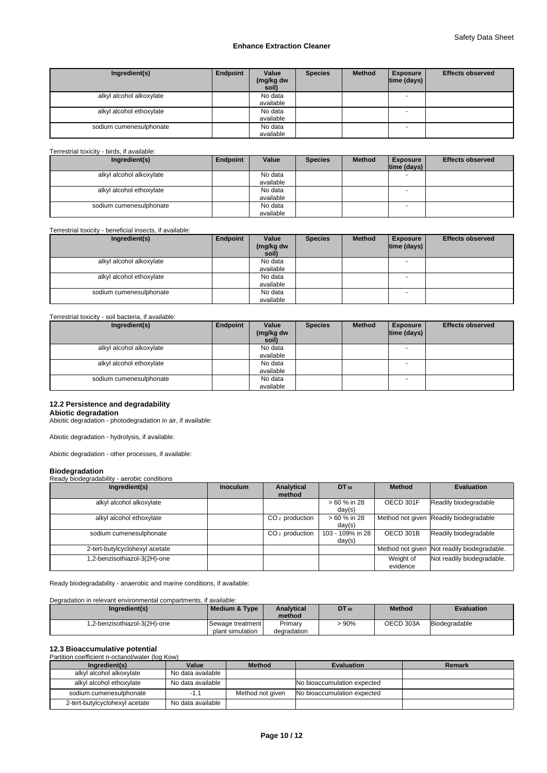| Ingredient(s)            | Endpoint | Value<br>(mg/kg dw<br>soil) | <b>Species</b> | <b>Method</b> | <b>Exposure</b><br> time (days) | <b>Effects observed</b> |
|--------------------------|----------|-----------------------------|----------------|---------------|---------------------------------|-------------------------|
| alkyl alcohol alkoxylate |          | No data<br>available        |                |               | $\overline{\phantom{a}}$        |                         |
| alkyl alcohol ethoxylate |          | No data<br>available        |                |               |                                 |                         |
| sodium cumenesulphonate  |          | No data<br>available        |                |               | - -                             |                         |

## Terrestrial toxicity - birds, if available:

| Ingredient(s)            | Endpoint | Value     | <b>Species</b> | <b>Method</b> | <b>Exposure</b> | <b>Effects observed</b> |
|--------------------------|----------|-----------|----------------|---------------|-----------------|-------------------------|
|                          |          |           |                |               | time (days)     |                         |
| alkyl alcohol alkoxylate |          | No data   |                |               |                 |                         |
|                          |          | available |                |               |                 |                         |
| alkyl alcohol ethoxylate |          | No data   |                |               |                 |                         |
|                          |          | available |                |               |                 |                         |
| sodium cumenesulphonate  |          | No data   |                |               |                 |                         |
|                          |          | available |                |               |                 |                         |

### Terrestrial toxicity - beneficial insects, if available:

| Ingredient(s)            | Endpoint | Value<br>(mg/kg dw<br>soil) | <b>Species</b> | <b>Method</b> | <b>Exposure</b><br> time (days) | <b>Effects observed</b> |
|--------------------------|----------|-----------------------------|----------------|---------------|---------------------------------|-------------------------|
| alkyl alcohol alkoxylate |          | No data<br>available        |                |               | $\overline{\phantom{a}}$        |                         |
| alkyl alcohol ethoxylate |          | No data<br>available        |                |               |                                 |                         |
| sodium cumenesulphonate  |          | No data<br>available        |                |               |                                 |                         |

# Terrestrial toxicity - soil bacteria, if available:

| Ingredient(s)            | Endpoint | Value<br>(mg/kg dw<br>soil) | <b>Species</b> | <b>Method</b> | <b>Exposure</b><br> time (days) | <b>Effects observed</b> |
|--------------------------|----------|-----------------------------|----------------|---------------|---------------------------------|-------------------------|
| alkyl alcohol alkoxylate |          | No data<br>available        |                |               | $\overline{\phantom{a}}$        |                         |
| alkyl alcohol ethoxylate |          | No data<br>available        |                |               |                                 |                         |
| sodium cumenesulphonate  |          | No data<br>available        |                |               |                                 |                         |

# **12.2 Persistence and degradability**

**Abiotic degradation** Abiotic degradation - photodegradation in air, if available:

Abiotic degradation - hydrolysis, if available:

Abiotic degradation - other processes, if available:

### **Biodegradation**

# Ready biodegradability - aerobic conditions

| Ingredient(s)                  | <b>Inoculum</b> | Analytical       | DT 50                      | <b>Method</b>         | <b>Evaluation</b>                           |
|--------------------------------|-----------------|------------------|----------------------------|-----------------------|---------------------------------------------|
|                                |                 | method           |                            |                       |                                             |
| alkyl alcohol alkoxylate       |                 |                  | $>60%$ in 28<br>day(s)     | OECD 301F             | Readily biodegradable                       |
| alkyl alcohol ethoxylate       |                 | $CO2$ production | > 60 % in 28<br>day(s)     |                       | Method not given Readily biodegradable      |
| sodium cumenesulphonate        |                 | $CO2$ production | 103 - 109% in 28<br>day(s) | OECD 301B             | Readily biodegradable                       |
| 2-tert-butylcyclohexyl acetate |                 |                  |                            |                       | Method not given Not readily biodegradable. |
| 1,2-benzisothiazol-3(2H)-one   |                 |                  |                            | Weight of<br>evidence | Not readily biodegradable.                  |

Ready biodegradability - anaerobic and marine conditions, if available:

### Degradation in relevant environmental compartments, if available:

| Ingredient(s)                | Medium & Type             | Analvtical<br>method | <b>DT</b> 50 | <b>Method</b> | <b>Evaluation</b> |
|------------------------------|---------------------------|----------------------|--------------|---------------|-------------------|
| 1.2-benzisothiazol-3(2H)-one | <b>I</b> Sewage treatment | Primary              | 90%          | OECD 303A     | Biodegradable     |
|                              | plant simulation          | degradation          |              |               |                   |

### **12.3 Bioaccumulative potential Partition coefficient n-octa**

| Partition coemcient n-octanol/water (log Kow) |                   |                  |                             |        |  |  |  |
|-----------------------------------------------|-------------------|------------------|-----------------------------|--------|--|--|--|
| Ingredient(s)                                 | Value             | <b>Method</b>    | <b>Evaluation</b>           | Remark |  |  |  |
| alkyl alcohol alkoxylate                      | No data available |                  |                             |        |  |  |  |
| alkyl alcohol ethoxylate                      | No data available |                  | No bioaccumulation expected |        |  |  |  |
| sodium cumenesulphonate                       |                   | Method not given | No bioaccumulation expected |        |  |  |  |
| 2-tert-butylcyclohexyl acetate                | No data available |                  |                             |        |  |  |  |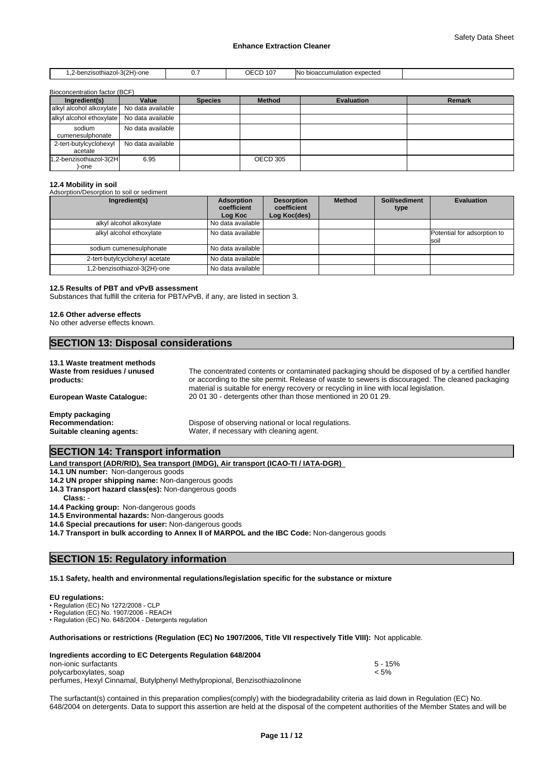| niazol-3(2H)-one<br>-benzisothiazol·<br>י וסט<br>. | $\sim$ | $\sim$<br>$\cdot$<br>℩⊢<br>10.<br>∟ບ∟<br>$\sim$ $\sim$ $\sim$ $\sim$ $\sim$ $\sim$ | expected<br>bioaccumulation<br>. |  |
|----------------------------------------------------|--------|------------------------------------------------------------------------------------|----------------------------------|--|

 $\mathsf{h}$ ontration factor (BCF)

| Ingredient(s)                                | Value             | <b>Species</b> | <b>Method</b> | <b>Evaluation</b> | Remark |
|----------------------------------------------|-------------------|----------------|---------------|-------------------|--------|
| alkyl alcohol alkoxylate   No data available |                   |                |               |                   |        |
| alkyl alcohol ethoxylate No data available   |                   |                |               |                   |        |
| sodium<br>cumenesulphonate                   | No data available |                |               |                   |        |
| 2-tert-butylcyclohexyl<br>acetate            | No data available |                |               |                   |        |
| 1,2-benzisothiazol-3(2H<br>)-one             | 6.95              |                | OECD 305      |                   |        |

### **12.4 Mobility in soil**

| Adsorption/Desorption to soil or sediment |                                      |                                                  |               |                       |                                     |
|-------------------------------------------|--------------------------------------|--------------------------------------------------|---------------|-----------------------|-------------------------------------|
| Ingredient(s)                             | Adsorption<br>coefficient<br>Log Koc | <b>Desorption</b><br>coefficient<br>Log Koc(des) | <b>Method</b> | Soil/sediment<br>type | <b>Evaluation</b>                   |
| alkyl alcohol alkoxylate                  | No data available                    |                                                  |               |                       |                                     |
| alkyl alcohol ethoxylate                  | No data available                    |                                                  |               |                       | Potential for adsorption to<br>soil |
| sodium cumenesulphonate                   | No data available                    |                                                  |               |                       |                                     |
| 2-tert-butylcyclohexyl acetate            | No data available                    |                                                  |               |                       |                                     |
| 1,2-benzisothiazol-3(2H)-one              | No data available                    |                                                  |               |                       |                                     |

### **12.5 Results of PBT and vPvB assessment**

Substances that fulfill the criteria for PBT/vPvB, if any, are listed in section 3.

### **12.6 Other adverse effects**

No other adverse effects known.

# **SECTION 13: Disposal considerations**

### **13.1 Waste treatment methods**

**Waste from residues / unused products:** The concentrated contents or contaminated packaging should be disposed of by a certified handler or according to the site permit. Release of waste to sewers is discouraged. The cleaned packaging material is suitable for energy recovery or recycling in line with local legislation. **European Waste Catalogue:** 20 01 30 - detergents other than those mentioned in 20 01 29.

**Empty packaging**

Dispose of observing national or local regulations. **Suitable cleaning agents:** Water, if necessary with cleaning agent.

# **SECTION 14: Transport information**

**Land transport (ADR/RID), Sea transport (IMDG), Air transport (ICAO-TI / IATA-DGR)** 

**14.1 UN number:** Non-dangerous goods

- **14.2 UN proper shipping name:** Non-dangerous goods
- **14.3 Transport hazard class(es):** Non-dangerous goods

**Class:** -

**14.4 Packing group:** Non-dangerous goods

**14.5 Environmental hazards:** Non-dangerous goods

**14.6 Special precautions for user:** Non-dangerous goods

**14.7 Transport in bulk according to Annex II of MARPOL and the IBC Code:** Non-dangerous goods

# **SECTION 15: Regulatory information**

### **15.1 Safety, health and environmental regulations/legislation specific for the substance or mixture**

### **EU regulations:**

• Regulation (EC) No 1272/2008 - CLP

•Regulation(EC)No.1907/2006-REACH

• Regulation (EC) No. 648/2004 - Detergents regulation

# **Authorisations or restrictions (Regulation (EC) No 1907/2006, Title VII respectively Title VIII):** Not applicable.

| Ingredients according to EC Detergents Regulation 648/2004                 |           |  |
|----------------------------------------------------------------------------|-----------|--|
| non-ionic surfactants                                                      | $5 - 15%$ |  |
| polycarboxylates, soap                                                     | < 5%      |  |
| perfumes, Hexyl Cinnamal, Butylphenyl Methylpropional, Benzisothiazolinone |           |  |

The surfactant(s) contained in this preparation complies(comply) with the biodegradability criteria as laid down in Regulation (EC) No. 648/2004 on detergents. Data to support this assertion are held at the disposal of the competent authorities of the Member States and will be